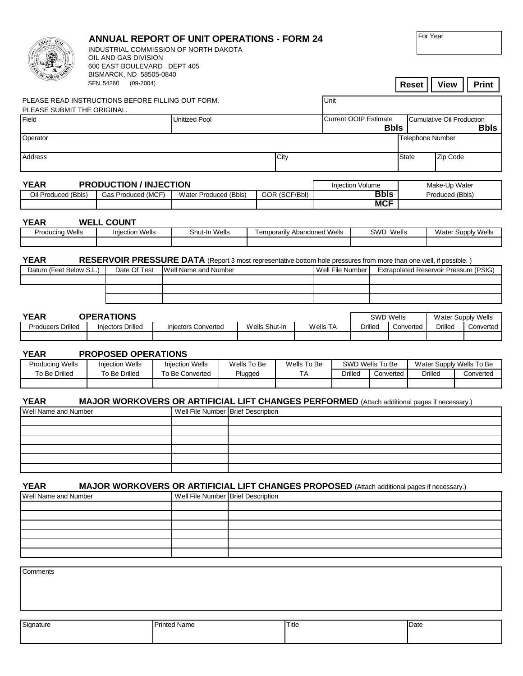|                                                                                          | <b>ANNUAL REPORT OF UNIT OPERATIONS - FORM 24</b><br>INDUSTRIAL COMMISSION OF NORTH DAKOTA<br>OIL AND GAS DIVISION<br>600 EAST BOULEVARD DEPT 405<br>BISMARCK, ND 58505-0840 |                                                                                                                                    |  |                                           |  |                        |                          |                                             |                                    |                                  |                          |                                                 |                |  | For Year                                                |                                               |  |              |
|------------------------------------------------------------------------------------------|------------------------------------------------------------------------------------------------------------------------------------------------------------------------------|------------------------------------------------------------------------------------------------------------------------------------|--|-------------------------------------------|--|------------------------|--------------------------|---------------------------------------------|------------------------------------|----------------------------------|--------------------------|-------------------------------------------------|----------------|--|---------------------------------------------------------|-----------------------------------------------|--|--------------|
|                                                                                          | SFN 54260                                                                                                                                                                    | $(09-2004)$                                                                                                                        |  |                                           |  |                        |                          |                                             |                                    |                                  |                          |                                                 |                |  | Reset                                                   | <b>View</b>                                   |  | <b>Print</b> |
| Unit<br>PLEASE READ INSTRUCTIONS BEFORE FILLING OUT FORM.<br>PLEASE SUBMIT THE ORIGINAL. |                                                                                                                                                                              |                                                                                                                                    |  |                                           |  |                        |                          |                                             |                                    |                                  |                          |                                                 |                |  |                                                         |                                               |  |              |
| Field                                                                                    | <b>Unitized Pool</b>                                                                                                                                                         |                                                                                                                                    |  |                                           |  |                        |                          | <b>Current OOIP Estimate</b><br><b>Bbls</b> |                                    |                                  |                          | <b>Cumulative Oil Production</b><br><b>Bbls</b> |                |  |                                                         |                                               |  |              |
| Operator                                                                                 |                                                                                                                                                                              |                                                                                                                                    |  |                                           |  |                        |                          |                                             | <b>Telephone Number</b>            |                                  |                          |                                                 |                |  |                                                         |                                               |  |              |
| Address                                                                                  |                                                                                                                                                                              | City                                                                                                                               |  |                                           |  |                        |                          |                                             |                                    |                                  | <b>State</b><br>Zip Code |                                                 |                |  |                                                         |                                               |  |              |
| <b>YEAR</b><br>Oil Produced (Bbls)                                                       | <b>PRODUCTION / INJECTION</b><br>Water Produced (Bbls)<br>GOR (SCF/Bbl)                                                                                                      |                                                                                                                                    |  |                                           |  | Injection Volume       |                          |                                             | <b>Bbls</b>                        | Make-Up Water<br>Produced (Bbls) |                          |                                                 |                |  |                                                         |                                               |  |              |
|                                                                                          |                                                                                                                                                                              |                                                                                                                                    |  |                                           |  |                        |                          |                                             |                                    |                                  | <b>MCF</b>               |                                                 |                |  |                                                         |                                               |  |              |
| <b>YEAR</b>                                                                              |                                                                                                                                                                              | <b>WELL COUNT</b>                                                                                                                  |  |                                           |  |                        |                          |                                             |                                    |                                  |                          |                                                 | SWD Wells      |  |                                                         |                                               |  |              |
| <b>Producing Wells</b><br><b>Injection Wells</b>                                         |                                                                                                                                                                              |                                                                                                                                    |  | Shut-In Wells                             |  |                        |                          |                                             | <b>Temporarily Abandoned Wells</b> |                                  |                          |                                                 |                |  | Water Supply Wells                                      |                                               |  |              |
| <b>YEAR</b><br>Datum (Feet Below S.L.)                                                   |                                                                                                                                                                              | RESERVOIR PRESSURE DATA (Report 3 most representative bottom hole pressures from more than one well, if possible.)<br>Date Of Test |  | Well Name and Number                      |  |                        |                          |                                             |                                    |                                  | Well File Number         |                                                 |                |  |                                                         | <b>Extrapolated Reservoir Pressure (PSIG)</b> |  |              |
|                                                                                          |                                                                                                                                                                              |                                                                                                                                    |  |                                           |  |                        |                          |                                             |                                    |                                  |                          |                                                 |                |  |                                                         |                                               |  |              |
|                                                                                          |                                                                                                                                                                              |                                                                                                                                    |  |                                           |  |                        |                          |                                             |                                    |                                  |                          |                                                 |                |  |                                                         |                                               |  |              |
| <b>YEAR</b><br><b>OPERATIONS</b>                                                         |                                                                                                                                                                              |                                                                                                                                    |  |                                           |  |                        |                          | <b>SWD Wells</b>                            |                                    |                                  |                          | Water Supply Wells                              |                |  |                                                         |                                               |  |              |
| <b>Producers Drilled</b><br>Injectors Drilled                                            |                                                                                                                                                                              |                                                                                                                                    |  | <b>Injectors Converted</b>                |  |                        | Wells Shut-in            |                                             |                                    | Wells TA                         |                          |                                                 | <b>Drilled</b> |  | Converted                                               | <b>Drilled</b>                                |  | Converted    |
| <b>YEAR</b>                                                                              |                                                                                                                                                                              | <b>PROPOSED OPERATIONS</b>                                                                                                         |  |                                           |  |                        |                          |                                             |                                    |                                  |                          |                                                 |                |  |                                                         |                                               |  |              |
| <b>Producing Wells</b><br>To Be Drilled                                                  | <b>Injection Wells</b><br>To Be Drilled                                                                                                                                      |                                                                                                                                    |  | <b>Injection Wells</b><br>To Be Converted |  | Wells To Be<br>Plugged | Wells To Be<br><b>TA</b> |                                             |                                    | SWD Wells To Be<br>Drilled       |                          | Converted                                       |                |  | Water Supply Wells To Be<br><b>Drilled</b><br>Converted |                                               |  |              |
| <b>YEAR</b>                                                                              |                                                                                                                                                                              | <b>MAJOR WORKOVERS OR ARTIFICIAL LIFT CHANGES PERFORMED</b> (Attach additional pages if necessary.)                                |  |                                           |  |                        |                          |                                             |                                    |                                  |                          |                                                 |                |  |                                                         |                                               |  |              |
| Well Name and Number                                                                     |                                                                                                                                                                              |                                                                                                                                    |  | Well File Number Brief Description        |  |                        |                          |                                             |                                    |                                  |                          |                                                 |                |  |                                                         |                                               |  |              |
|                                                                                          |                                                                                                                                                                              |                                                                                                                                    |  |                                           |  |                        |                          |                                             |                                    |                                  |                          |                                                 |                |  |                                                         |                                               |  |              |
|                                                                                          |                                                                                                                                                                              |                                                                                                                                    |  |                                           |  |                        |                          |                                             |                                    |                                  |                          |                                                 |                |  |                                                         |                                               |  |              |
|                                                                                          |                                                                                                                                                                              |                                                                                                                                    |  |                                           |  |                        |                          |                                             |                                    |                                  |                          |                                                 |                |  |                                                         |                                               |  |              |
|                                                                                          |                                                                                                                                                                              |                                                                                                                                    |  |                                           |  |                        |                          |                                             |                                    |                                  |                          |                                                 |                |  |                                                         |                                               |  |              |
| <b>YEAR</b><br>Well Name and Number                                                      |                                                                                                                                                                              | MAJOR WORKOVERS OR ARTIFICIAL LIFT CHANGES PROPOSED (Attach additional pages if necessary.)                                        |  | Well File Number Brief Description        |  |                        |                          |                                             |                                    |                                  |                          |                                                 |                |  |                                                         |                                               |  |              |
|                                                                                          |                                                                                                                                                                              |                                                                                                                                    |  |                                           |  |                        |                          |                                             |                                    |                                  |                          |                                                 |                |  |                                                         |                                               |  |              |
|                                                                                          |                                                                                                                                                                              |                                                                                                                                    |  |                                           |  |                        |                          |                                             |                                    |                                  |                          |                                                 |                |  |                                                         |                                               |  |              |
|                                                                                          |                                                                                                                                                                              |                                                                                                                                    |  |                                           |  |                        |                          |                                             |                                    |                                  |                          |                                                 |                |  |                                                         |                                               |  |              |
|                                                                                          |                                                                                                                                                                              |                                                                                                                                    |  |                                           |  |                        |                          |                                             |                                    |                                  |                          |                                                 |                |  |                                                         |                                               |  |              |
| Comments                                                                                 |                                                                                                                                                                              |                                                                                                                                    |  |                                           |  |                        |                          |                                             |                                    |                                  |                          |                                                 |                |  |                                                         |                                               |  |              |
|                                                                                          |                                                                                                                                                                              |                                                                                                                                    |  |                                           |  |                        |                          |                                             |                                    |                                  |                          |                                                 |                |  |                                                         |                                               |  |              |
| Signature                                                                                |                                                                                                                                                                              |                                                                                                                                    |  | <b>Printed Name</b>                       |  |                        |                          |                                             |                                    |                                  |                          |                                                 |                |  |                                                         |                                               |  |              |
|                                                                                          |                                                                                                                                                                              |                                                                                                                                    |  |                                           |  | Title                  |                          |                                             |                                    |                                  |                          | Date                                            |                |  |                                                         |                                               |  |              |